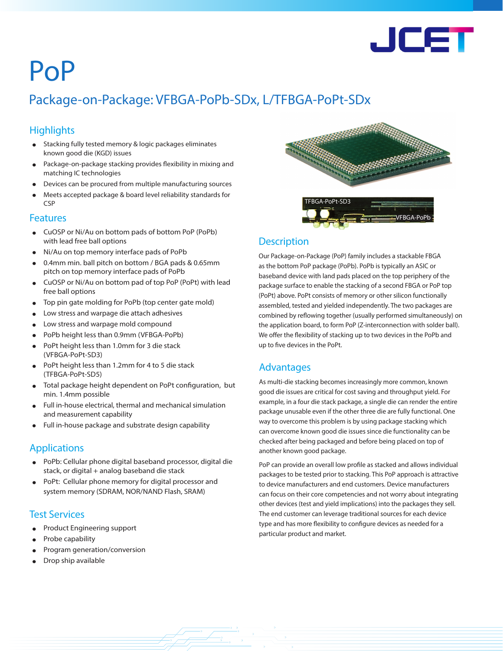

# PoP

## Package-on-Package: VFBGA-PoPb-SDx, L/TFBGA-PoPt-SDx

### **Highlights**

- Stacking fully tested memory & logic packages eliminates known good die (KGD) issues
- Package-on-package stacking provides flexibility in mixing and matching IC technologies
- Devices can be procured from multiple manufacturing sources
- Meets accepted package & board level reliability standards for CSP

#### Features

- CuOSP or Ni/Au on bottom pads of bottom PoP (PoPb) with lead free ball options
- Ni/Au on top memory interface pads of PoPb
- 0.4mm min. ball pitch on bottom / BGA pads & 0.65mm pitch on top memory interface pads of PoPb
- CuOSP or Ni/Au on bottom pad of top PoP (PoPt) with lead free ball options
- Top pin gate molding for PoPb (top center gate mold)
- Low stress and warpage die attach adhesives
- Low stress and warpage mold compound
- PoPb height less than 0.9mm (VFBGA-PoPb)
- PoPt height less than 1.0mm for 3 die stack (VFBGA-PoPt-SD3)
- PoPt height less than 1.2mm for 4 to 5 die stack (TFBGA-PoPt-SD5)
- Total package height dependent on PoPt configuration, but min. 1.4mm possible
- Full in-house electrical, thermal and mechanical simulation and measurement capability
- Full in-house package and substrate design capability

#### Applications

- PoPb: Cellular phone digital baseband processor, digital die stack, or digital + analog baseband die stack
- PoPt: Cellular phone memory for digital processor and system memory (SDRAM, NOR/NAND Flash, SRAM)

#### Test Services

- Product Engineering support
- Probe capability
- Program generation/conversion
- Drop ship available



#### **Description**

Our Package-on-Package (PoP) family includes a stackable FBGA as the bottom PoP package (PoPb). PoPb is typically an ASIC or baseband device with land pads placed on the top periphery of the package surface to enable the stacking of a second FBGA or PoP top (PoPt) above. PoPt consists of memory or other silicon functionally assembled, tested and yielded independently. The two packages are combined by reflowing together (usually performed simultaneously) on the application board, to form PoP (Z-interconnection with solder ball). We offer the flexibility of stacking up to two devices in the PoPb and up to five devices in the PoPt.

#### Advantages

As multi-die stacking becomes increasingly more common, known good die issues are critical for cost saving and throughput yield. For example, in a four die stack package, a single die can render the entire package unusable even if the other three die are fully functional. One way to overcome this problem is by using package stacking which can overcome known good die issues since die functionality can be checked after being packaged and before being placed on top of another known good package.

PoP can provide an overall low profile as stacked and allows individual packages to be tested prior to stacking. This PoP approach is attractive to device manufacturers and end customers. Device manufacturers can focus on their core competencies and not worry about integrating other devices (test and yield implications) into the packages they sell. The end customer can leverage traditional sources for each device type and has more flexibility to configure devices as needed for a particular product and market.